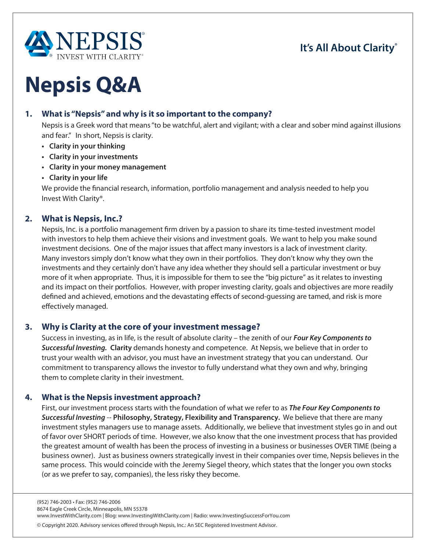

# **Nepsis Q&A**

# **1. What is "Nepsis" and why is it so important to the company?**

Nepsis is a Greek word that means "to be watchful, alert and vigilant; with a clear and sober mind against illusions and fear." In short, Nepsis is clarity.

- **Clarity in your thinking**
- **Clarity in your investments**
- **Clarity in your money management**
- **Clarity in your life**

We provide the financial research, information, portfolio management and analysis needed to help you Invest With Clarity®.

# **2. What is Nepsis, Inc.?**

Nepsis, Inc. is a portfolio management firm driven by a passion to share its time-tested investment model with investors to help them achieve their visions and investment goals. We want to help you make sound investment decisions. One of the major issues that affect many investors is a lack of investment clarity. Many investors simply don't know what they own in their portfolios. They don't know why they own the investments and they certainly don't have any idea whether they should sell a particular investment or buy more of it when appropriate. Thus, it is impossible for them to see the "big picture" as it relates to investing and its impact on their portfolios. However, with proper investing clarity, goals and objectives are more readily defined and achieved, emotions and the devastating effects of second-guessing are tamed, and risk is more effectively managed.

# **3. Why is Clarity at the core of your investment message?**

Success in investing, as in life, is the result of absolute clarity – the zenith of our *Four Key Components to* **Successful Investing. Clarity** demands honesty and competence. At Nepsis, we believe that in order to trust your wealth with an advisor, you must have an investment strategy that you can understand. Our commitment to transparency allows the investor to fully understand what they own and why, bringing them to complete clarity in their investment.

#### **4. What is the Nepsis investment approach?**

First, our investment process starts with the foundation of what we refer to as *The Four Key Components to* **Successful Investing -- Philosophy, Strategy, Flexibility and Transparency.** We believe that there are many investment styles managers use to manage assets. Additionally, we believe that investment styles go in and out of favor over SHORT periods of time. However, we also know that the one investment process that has provided the greatest amount of wealth has been the process of investing in a business or businesses OVER TIME (being a business owner). Just as business owners strategically invest in their companies over time, Nepsis believes in the same process. This would coincide with the Jeremy Siegel theory, which states that the longer you own stocks (or as we prefer to say, companies), the less risky they become.

<sup>©</sup> Copyright 2020. Advisory services ofered through Nepsis, Inc.: An SEC Registered Investment Advisor.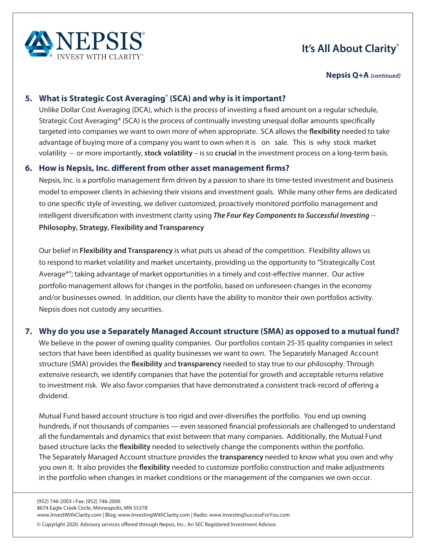

**Nepsis Q+A** *(continued)*

# **5. What is Strategic Cost Averaging® (SCA) and why is it important?**

Unlike Dollar Cost Averaging (DCA), which is the process of investing a fixed amount on a regular schedule, Strategic Cost Averaging® (SCA) is the process of continually investing unequal dollar amounts specifically targeted into companies we want to own more of when appropriate. SCA allows the **flexibility** needed to take advantage of buying more of a company you want to own when it is on sale. This is why stock market volatility – or more importantly, **stock volatility** – is so **crucial** in the investment process on a long-term basis.

# **6. How is Nepsis, Inc. different from other asset management firms?**

Nepsis, Inc. is a portfolio management firm driven by a passion to share its time-tested investment and business model to empower clients in achieving their visions and investment goals. While many other firms are dedicated to one specific style of investing, we deliver customized, proactively monitored portfolio management and intelligent diversification with investment clarity using *The Four Key Components to Successful Investing* -- **Philosophy, Strategy, Flexibility and Transparency**

Our belief in **Flexibility and Transparency** is what puts us ahead of the competition. Flexibility allows us to respond to market volatility and market uncertainty, providing us the opportunity to "Strategically Cost Average®"; taking advantage of market opportunities in a timely and cost-effective manner. Our active portfolio management allows for changes in the portfolio, based on unforeseen changes in the economy and/or businesses owned. In addition, our clients have the ability to monitor their own portfolios activity. Nepsis does not custody any securities.

# **7. Why do you use a Separately Managed Account structure (SMA) as opposed to a mutual fund?**

We believe in the power of owning quality companies. Our portfolios contain 25-35 quality companies in select sectors that have been identified as quality businesses we want to own. The Separately Managed Account structure (SMA) provides the **flexibility** and **transparency** needed to stay true to our philosophy. Through extensive research, we identify companies that have the potential for growth and acceptable returns relative to investment risk. We also favor companies that have demonstrated a consistent track-record of offering a dividend.

Mutual Fund based account structure is too rigid and over-diversifies the portfolio. You end up owning hundreds, if not thousands of companies — even seasoned financial professionals are challenged to understand all the fundamentals and dynamics that exist between that many companies. Additionally, the Mutual Fund based structure lacks the **flexibility** needed to selectively change the components within the portfolio. The Separately Managed Account structure provides the **transparency** needed to know what you own and why you own it. It also provides the **flexibility** needed to customize portfolio construction and make adjustments in the portfolio when changes in market conditions or the management of the companies we own occur.

www.InvestWithClarity.com | Blog: www.InvestingWithClarity.com | Radio: www.InvestingSuccessForYou.com

<sup>©</sup> Copyright 2020. Advisory services ofered through Nepsis, Inc.: An SEC Registered Investment Advisor.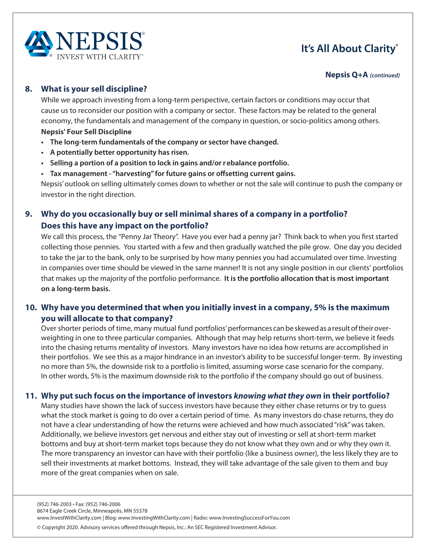

#### **Nepsis Q+A** *(continued)*

#### **8. What is your sell discipline?**

While we approach investing from a long-term perspective, certain factors or conditions may occur that cause us to reconsider our position with a company or sector. These factors may be related to the general economy, the fundamentals and management of the company in question, or socio-politics among others. **Nepsis' Four Sell Discipline**

- **The long-term fundamentals of the company or sector have changed.**
- **•** A potentially better opportunity has risen.
- **Examble 2 exambe Supersupers** Selignan to lock in gains and/or rebalance portfolio.
- **t** Tax management "harvesting" for future gains or offsetting current gains.

Nepsis' outlook on selling ultimately comes down to whether or not the sale will continue to push the company or investor in the right direction.

# **9. Why do you occasionally buy or sell minimal shares of a company in a portfolio? Does this have any impact on the portfolio?**

We call this process, the "Penny Jar Theory". Have you ever had a penny jar? Think back to when you first started collecting those pennies. You started with a few and then gradually watched the pile grow. One day you decided to take the jar to the bank, only to be surprised by how many pennies you had accumulated over time. Investing in companies over time should be viewed in the same manner! It is not any single position in our clients' portfolios that makes up the majority of the portfolio performance. It is the portfolio allocation that is most important on a long-term basis.

# **10. Why have you determined that when you initially invest in a company, 5% is the maximum you will allocate to that company?**

Over shorter periods of time, many mutual fund portfolios' performances can be skewed as a result oftheir overweighting in one to three particular companies. Although that may help returns short-term, we believe it feeds into the chasing returns mentality of investors. Many investors have no idea how returns are accomplished in their portfolios. We see this as a major hindrance in an investor's ability to be successful longer-term. By investing no more than 5%, the downside risk to a portfolio is limited, assuming worse case scenario for the company. In other words, 5% is the maximum downside risk to the portfolio if the company should go out of business.

# **11. Why put such focus on the importance of investors knowing what they own in their portfolio?**

Many studies have shown the lack of success investors have because they either chase returns or try to guess what the stock market is going to do over a certain period of time. As many investors do chase returns, they do not have a clear understanding of how the returns were achieved and how much associated "risk" was taken. Additionally, we believe investors get nervous and either stay out of investing or sell at short-term market bottoms and buy at short-term market tops because they do not know what they own and or why they own it. The more transparency an investor can have with their portfolio (like a business owner), the less likely they are to sell their investments at market bottoms. Instead, they will take advantage of the sale given to them and buy more of the great companies when on sale.